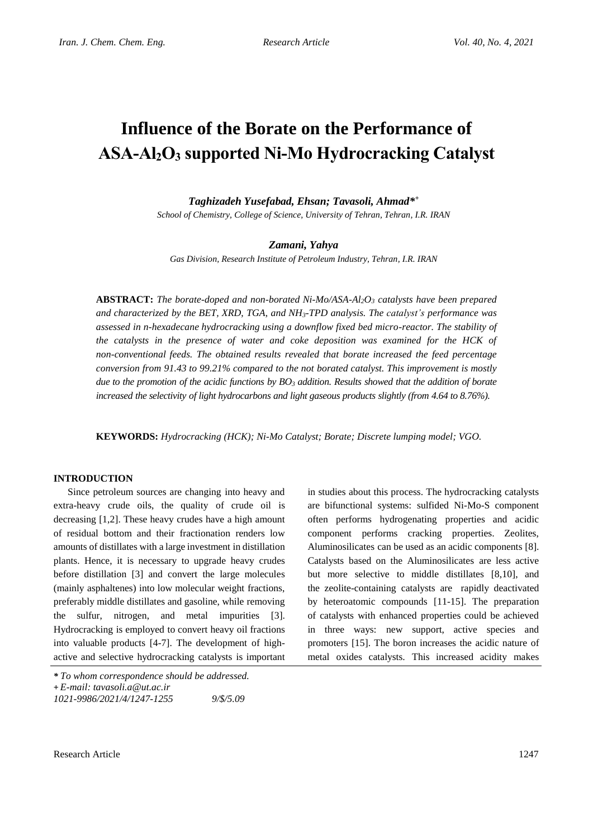# **Influence of the Borate on the Performance of ASA-Al2O<sup>3</sup> supported Ni-Mo Hydrocracking Catalyst**

## *Taghizadeh Yusefabad, Ehsan; Tavasoli, Ahmad\* +*

*School of Chemistry, College of Science, University of Tehran, Tehran, I.R. IRAN*

#### *Zamani, Yahya*

*Gas Division, Research Institute of Petroleum Industry, Tehran, I.R. IRAN*

**ABSTRACT:** *The borate-doped and non-borated Ni-Mo/ASA-Al2O<sup>3</sup> catalysts have been prepared and characterized by the BET, XRD, TGA, and NH3-TPD analysis. The catalyst's performance was assessed in n-hexadecane hydrocracking using a downflow fixed bed micro-reactor. The stability of the catalysts in the presence of water and coke deposition was examined for the HCK of non-conventional feeds. The obtained results revealed that borate increased the feed percentage conversion from 91.43 to 99.21% compared to the not borated catalyst. This improvement is mostly due to the promotion of the acidic functions by BO<sup>3</sup> addition. Results showed that the addition of borate increased the selectivity of light hydrocarbons and light gaseous products slightly (from 4.64 to 8.76%).*

**KEYWORDS:** *Hydrocracking (HCK); Ni-Mo Catalyst; Borate; Discrete lumping model; VGO.*

#### **INTRODUCTION**

Since petroleum sources are changing into heavy and extra-heavy crude oils, the quality of crude oil is decreasing [1,2]. These heavy crudes have a high amount of residual bottom and their fractionation renders low amounts of distillates with a large investment in distillation plants. Hence, it is necessary to upgrade heavy crudes before distillation [3] and convert the large molecules (mainly asphaltenes) into low molecular weight fractions, preferably middle distillates and gasoline, while removing the sulfur, nitrogen, and metal impurities [3]. Hydrocracking is employed to convert heavy oil fractions into valuable products [4-7]. The development of highactive and selective hydrocracking catalysts is important

in studies about this process. The hydrocracking catalysts are bifunctional systems: sulfided Ni-Mo-S component often performs hydrogenating properties and acidic component performs cracking properties. Zeolites, Aluminosilicates can be used as an acidic components [8]. Catalysts based on the Aluminosilicates are less active but more selective to middle distillates [8,10], and the zeolite-containing catalysts are rapidly deactivated by heteroatomic compounds [11-15]. The preparation of catalysts with enhanced properties could be achieved in three ways: new support, active species and promoters [15]. The boron increases the acidic nature of metal oxides catalysts. This increased acidity makes

*<sup>\*</sup> To whom correspondence should be addressed.*

**<sup>+</sup>** *E-mail: tavasoli.a@ut.ac.ir*

*<sup>1021-9986/2021/4/1247-1255 9/\$/5.09</sup>*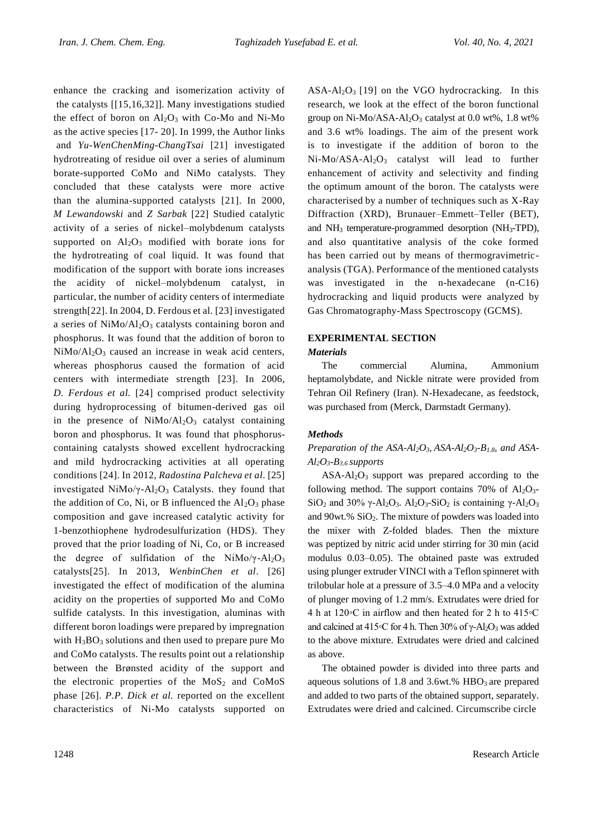enhance the cracking and isomerization activity of the catalysts [[15,16,32]]. Many investigations studied the effect of boron on  $Al_2O_3$  with Co-Mo and Ni-Mo as the active species [17- 20]. In 1999, the Author links and *Yu-WenChenMing-ChangTsai* [21] investigated hydrotreating of residue oil over a series of aluminum borate-supported CoMo and NiMo catalysts. They concluded that these catalysts were more active than the alumina-supported catalysts [21]. In 2000, *M Lewandowski* and *Z Sarbak* [22] Studied catalytic activity of a series of nickel–molybdenum catalysts supported on  $Al_2O_3$  modified with borate ions for the hydrotreating of coal liquid. It was found that modification of the support with borate ions increases the acidity of nickel–molybdenum catalyst, in particular, the number of acidity centers of intermediate strength[22]. In 2004, D. Ferdous et al. [23] investigated a series of NiMo/Al<sub>2</sub>O<sub>3</sub> catalysts containing boron and phosphorus. It was found that the addition of boron to  $NiMo/Al<sub>2</sub>O<sub>3</sub>$  caused an increase in weak acid centers, whereas phosphorus caused the formation of acid centers with intermediate strength [23]. In 2006, *D. Ferdous et al.* [24] comprised product selectivity during hydroprocessing of bitumen-derived gas oil in the presence of  $NiMo/Al<sub>2</sub>O<sub>3</sub>$  catalyst containing boron and phosphorus. It was found that phosphoruscontaining catalysts showed excellent hydrocracking and mild hydrocracking activities at all operating conditions [24]. In 2012, *Radostina Palcheva et al*. [25] investigated NiMo/ $\gamma$ -Al<sub>2</sub>O<sub>3</sub> Catalysts. they found that the addition of Co, Ni, or B influenced the  $Al_2O_3$  phase composition and gave increased catalytic activity for 1-benzothiophene hydrodesulfurization (HDS). They proved that the prior loading of Ni, Co, or B increased the degree of sulfidation of the NiMo/ $\gamma$ -Al<sub>2</sub>O<sub>3</sub> catalysts[25]. In 2013, *WenbinChen et al*. [26] investigated the effect of modification of the alumina acidity on the properties of supported Mo and CoMo sulfide catalysts. In this investigation, aluminas with different boron loadings were prepared by impregnation with  $H_3BO_3$  solutions and then used to prepare pure Mo and CoMo catalysts. The results point out a relationship between the Brønsted acidity of the support and the electronic properties of the  $MoS<sub>2</sub>$  and  $CoMoS$ phase [26]. *P.P. Dick et al.* reported on the excellent characteristics of Ni-Mo catalysts supported on ASA-Al<sub>2</sub>O<sub>3</sub> [19] on the VGO hydrocracking. In this research, we look at the effect of the boron functional group on Ni-Mo/ASA-Al2O<sup>3</sup> catalyst at 0.0 wt%, 1.8 wt% and 3.6 wt% loadings. The aim of the present work is to investigate if the addition of boron to the  $Ni-Mo/ASA-Al<sub>2</sub>O<sub>3</sub>$  catalyst will lead to further enhancement of activity and selectivity and finding the optimum amount of the boron. The catalysts were characterised by a number of techniques such as X-Ray Diffraction (XRD), Brunauer–Emmett–Teller (BET), and NH<sup>3</sup> temperature-programmed desorption (NH3-TPD), and also quantitative analysis of the coke formed has been carried out by means of thermogravimetricanalysis (TGA). Performance of the mentioned catalysts was investigated in the n-hexadecane (n-C16) hydrocracking and liquid products were analyzed by Gas Chromatography-Mass Spectroscopy (GCMS).

#### **EXPERIMENTAL SECTION**

#### *Materials*

The commercial Alumina, Ammonium heptamolybdate, and Nickle nitrate were provided from Tehran Oil Refinery (Iran). N-Hexadecane, as feedstock, was purchased from (Merck, Darmstadt Germany).

#### *Methods*

## *Preparation of the ASA-Al2O3, ASA-Al2O3-B1.8, and ASA-Al2O3-B3.6 supports*

 $ASA-Al<sub>2</sub>O<sub>3</sub>$  support was prepared according to the following method. The support contains 70% of  $Al_2O_3$ -SiO<sub>2</sub> and 30% γ-Al<sub>2</sub>O<sub>3</sub>. Al<sub>2</sub>O<sub>3</sub>-SiO<sub>2</sub> is containing γ-Al<sub>2</sub>O<sub>3</sub> and 90wt.% SiO2. The mixture of powders was loaded into the mixer with Z-folded blades. Then the mixture was peptized by nitric acid under stirring for 30 min (acid modulus 0.03–0.05). The obtained paste was extruded using plunger extruder VINCI with a Teflon spinneret with trilobular hole at a pressure of 3.5–4.0 MPa and a velocity of plunger moving of 1.2 mm/s. Extrudates were dried for 4 h at 120◦C in airflow and then heated for 2 h to 415◦C and calcined at 415◦C for 4 h. Then 30% of  $\gamma$ -Al<sub>2</sub>O<sub>3</sub> was added to the above mixture. Extrudates were dried and calcined as above.

The obtained powder is divided into three parts and aqueous solutions of 1.8 and 3.6wt.%  $HBO<sub>3</sub>$  are prepared and added to two parts of the obtained support, separately. Extrudates were dried and calcined. Circumscribe circle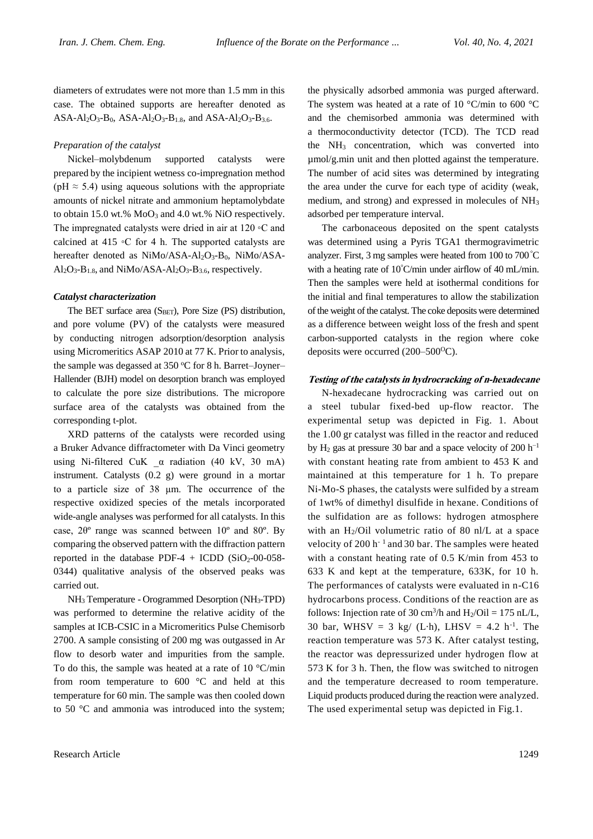diameters of extrudates were not more than 1.5 mm in this case. The obtained supports are hereafter denoted as ASA-Al<sub>2</sub>O<sub>3</sub>-B<sub>0</sub>, ASA-Al<sub>2</sub>O<sub>3</sub>-B<sub>1.8</sub>, and ASA-Al<sub>2</sub>O<sub>3</sub>-B<sub>3.6</sub>.

#### *Preparation of the catalyst*

Nickel–molybdenum supported catalysts were prepared by the incipient wetness co-impregnation method (pH  $\approx$  5.4) using aqueous solutions with the appropriate amounts of nickel nitrate and ammonium heptamolybdate to obtain 15.0 wt.%  $MoO<sub>3</sub>$  and 4.0 wt.% NiO respectively. The impregnated catalysts were dried in air at 120 ◦C and calcined at 415 ◦C for 4 h. The supported catalysts are hereafter denoted as NiMo/ASA-Al<sub>2</sub>O<sub>3</sub>-B<sub>0</sub>, NiMo/ASA- $Al_2O_3-B_{1.8}$ , and NiMo/ASA- $Al_2O_3-B_{3.6}$ , respectively.

#### *Catalyst characterization*

The BET surface area  $(S<sub>BET</sub>)$ , Pore Size (PS) distribution, and pore volume (PV) of the catalysts were measured by conducting nitrogen adsorption/desorption analysis using Micromeritics ASAP 2010 at 77 K. Prior to analysis, the sample was degassed at  $350^{\circ}$ C for 8 h. Barret–Joyner– Hallender (BJH) model on desorption branch was employed to calculate the pore size distributions. The micropore surface area of the catalysts was obtained from the corresponding t-plot.

XRD patterns of the catalysts were recorded using a Bruker Advance diffractometer with Da Vinci geometry using Ni-filtered CuK \_α radiation (40 kV, 30 mA) instrument. Catalysts (0.2 g) were ground in a mortar to a particle size of 38 μm. The occurrence of the respective oxidized species of the metals incorporated wide-angle analyses was performed for all catalysts. In this case, 2θº range was scanned between 10º and 80º. By comparing the observed pattern with the diffraction pattern reported in the database PDF-4 + ICDD  $(SiO<sub>2</sub>-00-058$ -0344) qualitative analysis of the observed peaks was carried out.

NH<sup>3</sup> Temperature - Orogrammed Desorption (NH3-TPD) was performed to determine the relative acidity of the samples at ICB-CSIC in a Micromeritics Pulse Chemisorb 2700. A sample consisting of 200 mg was outgassed in Ar flow to desorb water and impurities from the sample. To do this, the sample was heated at a rate of  $10^{\circ}$ C/min from room temperature to 600 °C and held at this temperature for 60 min. The sample was then cooled down to 50 °C and ammonia was introduced into the system; the physically adsorbed ammonia was purged afterward. The system was heated at a rate of 10 °C/min to 600 °C and the chemisorbed ammonia was determined with a thermoconductivity detector (TCD). The TCD read the NH<sup>3</sup> concentration, which was converted into µmol/g.min unit and then plotted against the temperature. The number of acid sites was determined by integrating the area under the curve for each type of acidity (weak, medium, and strong) and expressed in molecules of NH<sup>3</sup> adsorbed per temperature interval.

The carbonaceous deposited on the spent catalysts was determined using a Pyris TGA1 thermogravimetric analyzer. First, 3 mg samples were heated from 100 to 700°C with a heating rate of 10<sup>°</sup>C/min under airflow of 40 mL/min. Then the samples were held at isothermal conditions for the initial and final temperatures to allow the stabilization of the weight of the catalyst. The coke deposits were determined as a difference between weight loss of the fresh and spent carbon-supported catalysts in the region where coke deposits were occurred  $(200-500^{\circ}\text{C})$ .

#### **Testing of the catalysts in hydrocracking of n-hexadecane**

N-hexadecane hydrocracking was carried out on a steel tubular fixed-bed up-flow reactor. The experimental setup was depicted in Fig. 1. About the 1.00 gr catalyst was filled in the reactor and reduced by H<sub>2</sub> gas at pressure 30 bar and a space velocity of 200 h<sup>-1</sup> with constant heating rate from ambient to 453 K and maintained at this temperature for 1 h. To prepare Ni-Mo-S phases, the catalysts were sulfided by a stream of 1wt% of dimethyl disulfide in hexane. Conditions of the sulfidation are as follows: hydrogen atmosphere with an  $H_2$ /Oil volumetric ratio of 80 nl/L at a space velocity of 200 h<sup>-1</sup> and 30 bar. The samples were heated with a constant heating rate of 0.5 K/min from 453 to 633 K and kept at the temperature, 633K, for 10 h. The performances of catalysts were evaluated in n-C16 hydrocarbons process. Conditions of the reaction are as follows: Injection rate of 30 cm<sup>3</sup>/h and  $H_2$ /Oil = 175 nL/L, 30 bar, WHSV = 3 kg/ (L·h), LHSV = 4.2 h<sup>-1</sup>. The reaction temperature was 573 K. After catalyst testing, the reactor was depressurized under hydrogen flow at 573 K for 3 h. Then, the flow was switched to nitrogen and the temperature decreased to room temperature. Liquid products produced during the reaction were analyzed. The used experimental setup was depicted in Fig.1.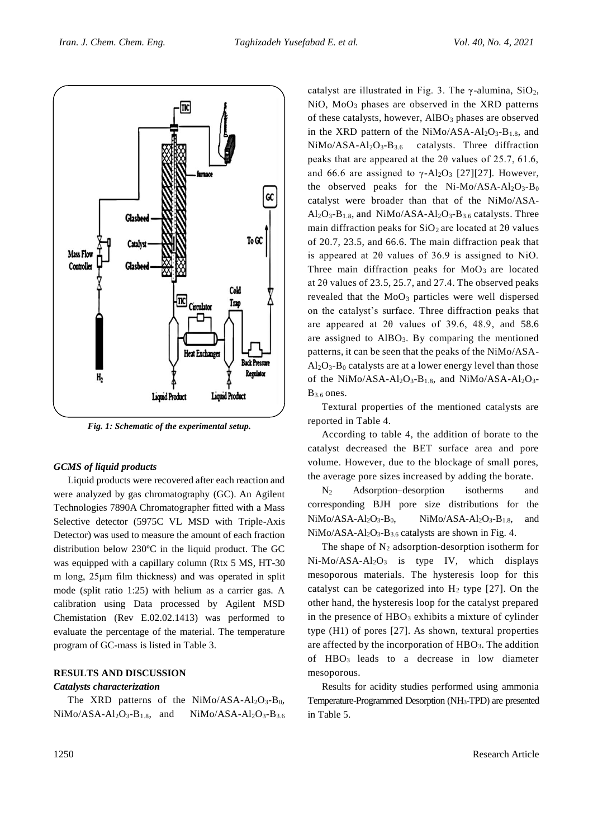

*Fig. 1: Schematic of the experimental setup.*

#### *GCMS of liquid products*

Liquid products were recovered after each reaction and were analyzed by gas chromatography (GC). An Agilent Technologies 7890A Chromatographer fitted with a Mass Selective detector (5975C VL MSD with Triple-Axis Detector) was used to measure the amount of each fraction distribution below 230ºC in the liquid product. The GC was equipped with a capillary column (Rtx 5 MS, HT-30 m long, 25μm film thickness) and was operated in split mode (split ratio 1:25) with helium as a carrier gas. A calibration using Data processed by Agilent MSD Chemistation (Rev E.02.02.1413) was performed to evaluate the percentage of the material. The temperature program of GC-mass is listed in Table 3.

## **RESULTS AND DISCUSSION**

#### *Catalysts characterization*

The XRD patterns of the  $NiMo/ASA-Al<sub>2</sub>O<sub>3</sub>-Bo$ ,  $NiMo/ASA-Al<sub>2</sub>O<sub>3</sub>-B<sub>1.8</sub>$ , and  $NiMo/ASA-Al<sub>2</sub>O<sub>3</sub>-B<sub>3.6</sub>$  catalyst are illustrated in Fig. 3. The  $\gamma$ -alumina, SiO<sub>2</sub>, NiO, MoO<sup>3</sup> phases are observed in the XRD patterns of these catalysts, however, AlBO<sub>3</sub> phases are observed in the XRD pattern of the  $NiMo/ASA-Al<sub>2</sub>O<sub>3</sub>-B<sub>1.8</sub>$ , and  $NiMo/ASA-Al<sub>2</sub>O<sub>3</sub>-B<sub>3.6</sub>$  catalysts. Three diffraction peaks that are appeared at the 2θ values of 25.7, 61.6, and 66.6 are assigned to  $\gamma$ -Al<sub>2</sub>O<sub>3</sub> [27][27]. However, the observed peaks for the Ni-Mo/ASA-Al<sub>2</sub>O<sub>3</sub>-B<sub>0</sub> catalyst were broader than that of the NiMo/ASA- $Al_2O_3-B_{1.8}$ , and  $NiMo/ASA-Al_2O_3-B_{3.6}$  catalysts. Three main diffraction peaks for  $SiO<sub>2</sub>$  are located at 2 $\theta$  values of 20.7, 23.5, and 66.6. The main diffraction peak that is appeared at 2θ values of 36.9 is assigned to NiO. Three main diffraction peaks for  $MoO<sub>3</sub>$  are located at 2θ values of 23.5, 25.7, and 27.4. The observed peaks revealed that the  $MoO<sub>3</sub>$  particles were well dispersed on the catalyst's surface. Three diffraction peaks that are appeared at 2θ values of 39.6, 48.9, and 58.6 are assigned to  $AIBO<sub>3</sub>$ . By comparing the mentioned patterns, it can be seen that the peaks of the NiMo/ASA- $Al_2O_3-B_0$  catalysts are at a lower energy level than those of the NiMo/ASA-Al<sub>2</sub>O<sub>3</sub>-B<sub>1.8</sub>, and NiMo/ASA-Al<sub>2</sub>O<sub>3</sub>-B3.6 ones.

Textural properties of the mentioned catalysts are reported in Table 4.

According to table 4, the addition of borate to the catalyst decreased the BET surface area and pore volume. However, due to the blockage of small pores, the average pore sizes increased by adding the borate.

N<sup>2</sup> Adsorption–desorption isotherms and corresponding BJH pore size distributions for the  $NiMo/ASA-Al_2O_3-B_0$ ,  $NiMo/ASA-Al_2O_3-B_{1.8}$ , and  $NiMo/ASA-Al<sub>2</sub>O<sub>3</sub>-B<sub>3.6</sub> catalysts are shown in Fig. 4.$ 

The shape of  $N_2$  adsorption-desorption isotherm for  $Ni-Mo/ASA-Al<sub>2</sub>O<sub>3</sub>$  is type IV, which displays mesoporous materials. The hysteresis loop for this catalyst can be categorized into  $H_2$  type [27]. On the other hand, the hysteresis loop for the catalyst prepared in the presence of  $HBO_3$  exhibits a mixture of cylinder type (H1) of pores [27]. As shown, textural properties are affected by the incorporation of  $HBO<sub>3</sub>$ . The addition of HBO<sup>3</sup> leads to a decrease in low diameter mesoporous.

Results for acidity studies performed using ammonia Temperature-Programmed Desorption (NH3-TPD) are presented in Table 5.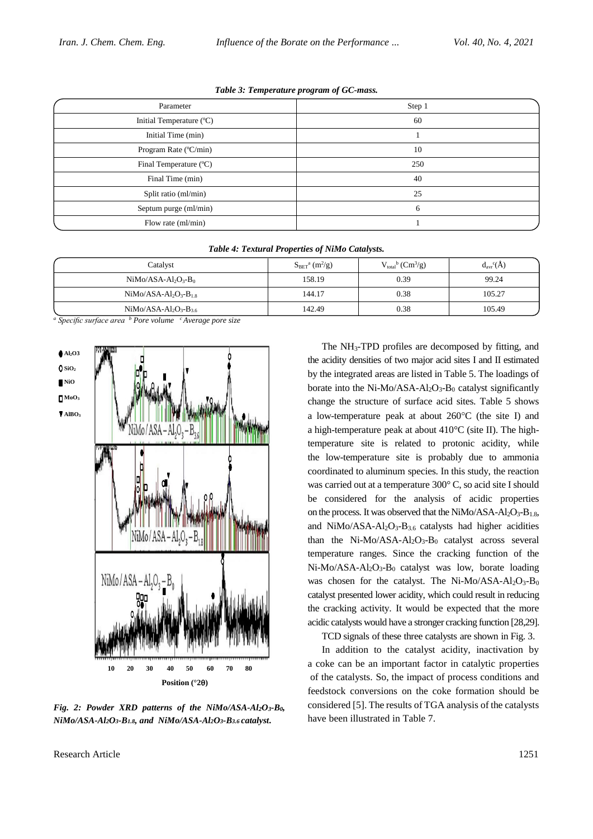| Parameter                | Step 1 |
|--------------------------|--------|
| Initial Temperature (°C) | 60     |
| Initial Time (min)       |        |
| Program Rate (°C/min)    | 10     |
| Final Temperature (°C)   | 250    |
| Final Time (min)         | 40     |
| Split ratio (ml/min)     | 25     |
| Septum purge (ml/min)    | 6      |
| Flow rate (ml/min)       |        |

| Catalyst                   | $SBETa (m2/g)$ | $V_{total}^{b}$ (Cm <sup>3</sup> /g) | $d_{\text{avr}}^c(A)$ |
|----------------------------|----------------|--------------------------------------|-----------------------|
| $NiMo/ASA-Al2O3-B0$        | 158.19         | 0.39                                 | 99.24                 |
| $NiMo/ASA-Al_2O_3-B_{1.8}$ | 144.17         | 0.38                                 | 105.27                |
| $NiMo/ASA-Al2O3-B3.6$      | 142.49         | 0.38                                 | 105.49                |

*Table 4: Textural Properties of NiMo Catalysts.*

*<sup>a</sup> Specific surface area <sup>b</sup> Pore volume <sup>c</sup>Average pore size*



*Fig. 2: Powder XRD patterns of the NiMo/ASA-Al2O3-B0, NiMo/ASA-Al2O3-B1.8, and NiMo/ASA-Al2O3-B3.6 catalyst***.**

Research Article 1251

The NH3-TPD profiles are decomposed by fitting, and the acidity densities of two major acid sites I and II estimated by the integrated areas are listed in Table 5. The loadings of borate into the Ni-Mo/ASA-Al<sub>2</sub>O<sub>3</sub>-B<sub>0</sub> catalyst significantly change the structure of surface acid sites. Table 5 shows a low-temperature peak at about  $260^{\circ}$ C (the site I) and a high-temperature peak at about 410°C (site II). The hightemperature site is related to protonic acidity, while the low-temperature site is probably due to ammonia coordinated to aluminum species. In this study, the reaction was carried out at a temperature 300° C, so acid site I should be considered for the analysis of acidic properties on the process. It was observed that the NiMo/ASA- $Al_2O_3-B_{1.8}$ , and NiMo/ASA-Al<sub>2</sub>O<sub>3</sub>-B<sub>3.6</sub> catalysts had higher acidities than the Ni-Mo/ASA-Al<sub>2</sub>O<sub>3</sub>-B<sub>0</sub> catalyst across several temperature ranges. Since the cracking function of the  $Ni-Mo/ASA-Al<sub>2</sub>O<sub>3</sub>-Bo$  catalyst was low, borate loading was chosen for the catalyst. The Ni-Mo/ASA-Al<sub>2</sub>O<sub>3</sub>-B<sub>0</sub> catalyst presented lower acidity, which could result in reducing the cracking activity. It would be expected that the more acidic catalysts would have a stronger cracking function [28,29].

TCD signals of these three catalysts are shown in Fig. 3.

In addition to the catalyst acidity, inactivation by a coke can be an important factor in catalytic properties of the catalysts. So, the impact of process conditions and feedstock conversions on the coke formation should be considered [5]. The results of TGA analysis of the catalysts have been illustrated in Table 7.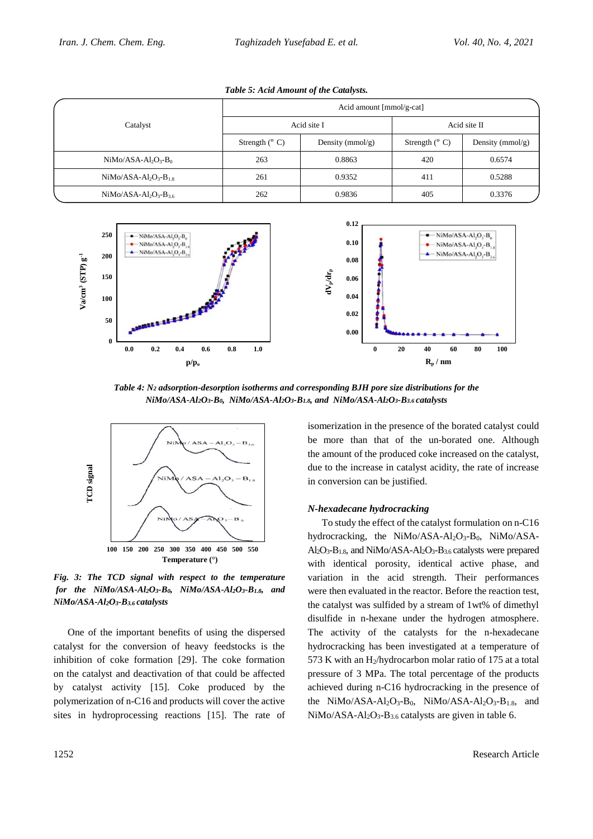|                       | Acid amount [mmol/g-cat] |                      |                         |                      |
|-----------------------|--------------------------|----------------------|-------------------------|----------------------|
| Catalyst              | Acid site I              |                      | Acid site II            |                      |
|                       | Strength $(^{\circ}$ C)  | Density ( $mmol/g$ ) | Strength $(^{\circ}$ C) | Density ( $mmol/g$ ) |
| $NiMo/ASA-Al2O3-B0$   | 263                      | 0.8863               | 420                     | 0.6574               |
| $NiMo/ASA-Al2O3-B1.8$ | 261                      | 0.9352               | 411                     | 0.5288               |
| $NiMo/ASA-Al2O3-B3.6$ | 262                      | 0.9836               | 405                     | 0.3376               |

*Table 5: Acid Amount of the Catalysts.*



*Table 4: N<sup>2</sup> adsorption-desorption isotherms and corresponding BJH pore size distributions for the NiMo/ASA-Al2O3-B0, NiMo/ASA-Al2O3-B1.8, and NiMo/ASA-Al2O3-B3.6 catalysts*



*Fig. 3: The TCD signal with respect to the temperature for the NiMo/ASA-Al2O3-B0, NiMo/ASA-Al2O3-B1.8, and NiMo/ASA-Al2O3-B3.6 catalysts*

One of the important benefits of using the dispersed catalyst for the conversion of heavy feedstocks is the inhibition of coke formation [29]. The coke formation on the catalyst and deactivation of that could be affected by catalyst activity [15]. Coke produced by the polymerization of n-C16 and products will cover the active sites in hydroprocessing reactions [15]. The rate of be more than that of the un-borated one. Although the amount of the produced coke increased on the catalyst, due to the increase in catalyst acidity, the rate of increase in conversion can be justified.

isomerization in the presence of the borated catalyst could

# *N-hexadecane hydrocracking*

To study the effect of the catalyst formulation on n-C16 hydrocracking, the NiMo/ASA-Al<sub>2</sub>O<sub>3</sub>-B<sub>0</sub>, NiMo/ASA-Al2O3-B1.8, and NiMo/ASA-Al2O3-B3.6 catalysts were prepared with identical porosity, identical active phase, and variation in the acid strength. Their performances were then evaluated in the reactor. Before the reaction test, the catalyst was sulfided by a stream of 1wt% of dimethyl disulfide in n-hexane under the hydrogen atmosphere. The activity of the catalysts for the n-hexadecane hydrocracking has been investigated at a temperature of 573 K with an  $H_2$ /hydrocarbon molar ratio of 175 at a total pressure of 3 MPa. The total percentage of the products achieved during n-C16 hydrocracking in the presence of the NiMo/ASA-Al<sub>2</sub>O<sub>3</sub>-B<sub>0</sub>, NiMo/ASA-Al<sub>2</sub>O<sub>3</sub>-B<sub>1.8</sub>, and NiMo/ASA-Al<sub>2</sub>O<sub>3</sub>-B<sub>3.6</sub> catalysts are given in table 6.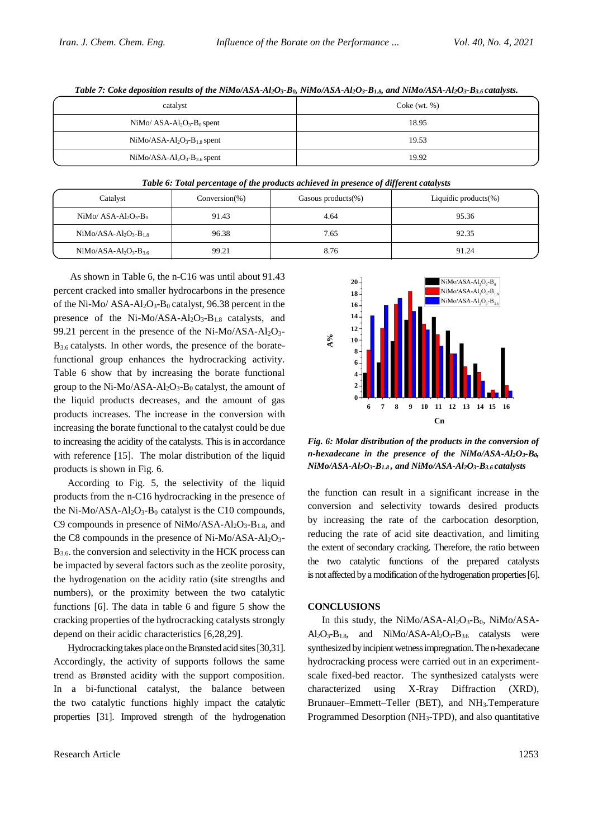| $\cdot$                     | $\tilde{\phantom{a}}$ |
|-----------------------------|-----------------------|
| catalyst                    | $\text{Coke (wt. %)}$ |
| $NiMo/ASA-Al2O3-B0$ spent   | 18.95                 |
| $NiMo/ASA-Al2O3-B1.8$ spent | 19.53                 |
| $NiMo/ASA-Al2O3-B3.6 spent$ | 19.92                 |

Table 7: Coke deposition results of the NiMo/ASA-Al<sub>2</sub>O<sub>3</sub>-B<sub>0</sub>, NiMo/ASA-Al<sub>2</sub>O<sub>3</sub>-B<sub>1.8</sub>, and NiMo/ASA-Al<sub>2</sub>O<sub>3</sub>-B<sub>3.6</sub> catalysts.

*Table 6: Total percentage of the products achieved in presence of different catalysts*

| Catalyst                   | $Conversion(\%)$ | Gasous products $(\%)$ | Liquidic products $(\%)$ |
|----------------------------|------------------|------------------------|--------------------------|
| $NiMo/ASA-Al2O3-B0$        | 91.43            | 4.64                   | 95.36                    |
| $NiMo/ASA-Al_2O_3-B_{1.8}$ | 96.38            | 7.65                   | 92.35                    |
| $NiMo/ASA-Al2O3-B3.6$      | 99.21            | 8.76                   | 91.24                    |

As shown in Table 6, the n-C16 was until about 91.43 percent cracked into smaller hydrocarbons in the presence of the Ni-Mo/  $ASA-Al_2O_3-B_0$  catalyst, 96.38 percent in the presence of the Ni-Mo/ASA-Al<sub>2</sub>O<sub>3</sub>-B<sub>1.8</sub> catalysts, and 99.21 percent in the presence of the Ni-Mo/ASA-Al<sub>2</sub>O<sub>3</sub>- $B_{3.6}$  catalysts. In other words, the presence of the boratefunctional group enhances the hydrocracking activity. Table 6 show that by increasing the borate functional group to the Ni-Mo/ASA-Al2O3-B<sup>0</sup> catalyst, the amount of the liquid products decreases, and the amount of gas products increases. The increase in the conversion with increasing the borate functional to the catalyst could be due to increasing the acidity of the catalysts. This is in accordance with reference [15]. The molar distribution of the liquid products is shown in Fig. 6.

According to Fig. 5, the selectivity of the liquid products from the n-C16 hydrocracking in the presence of the Ni-Mo/ASA-Al<sub>2</sub>O<sub>3</sub>-B<sub>0</sub> catalyst is the C10 compounds, C9 compounds in presence of  $NiMo/ASA-Al<sub>2</sub>O<sub>3</sub>-B<sub>1.8</sub>$ , and the C8 compounds in the presence of Ni-Mo/ASA-Al<sub>2</sub>O<sub>3</sub>-B<sub>3.6</sub>. the conversion and selectivity in the HCK process can be impacted by several factors such as the zeolite porosity, the hydrogenation on the acidity ratio (site strengths and numbers), or the proximity between the two catalytic functions [6]. The data in table 6 and figure 5 show the cracking properties of the hydrocracking catalysts strongly depend on their acidic characteristics [6,28,29].

Hydrocracking takes place on the Brønsted acid sites[30,31]. Accordingly, the activity of supports follows the same trend as Brønsted acidity with the support composition. In a bi-functional catalyst, the balance between the two catalytic functions highly impact the catalytic properties [31]. Improved strength of the hydrogenation



*Fig. 6: Molar distribution of the products in the conversion of n-hexadecane in the presence of the NiMo/ASA-Al2O3-B0, NiMo/ASA-Al2O3-B1.8 , and NiMo/ASA-Al2O3-B3.6 catalysts*

the function can result in a significant increase in the conversion and selectivity towards desired products by increasing the rate of the carbocation desorption, reducing the rate of acid site deactivation, and limiting the extent of secondary cracking. Therefore, the ratio between the two catalytic functions of the prepared catalysts is not affected by a modification of the hydrogenation properties[6].

### **CONCLUSIONS**

In this study, the NiMo/ASA- $Al_2O_3-B_0$ , NiMo/ASA- $Al_2O_3-B_{1.8}$ , and  $NiMo/ASA-Al_2O_3-B_{3.6}$  catalysts were synthesized by incipient wetness impregnation. The n-hexadecane hydrocracking process were carried out in an experimentscale fixed-bed reactor. The synthesized catalysts were characterized using X-Rray Diffraction (XRD), Brunauer–Emmett–Teller (BET), and NH3-Temperature Programmed Desorption (NH3-TPD), and also quantitative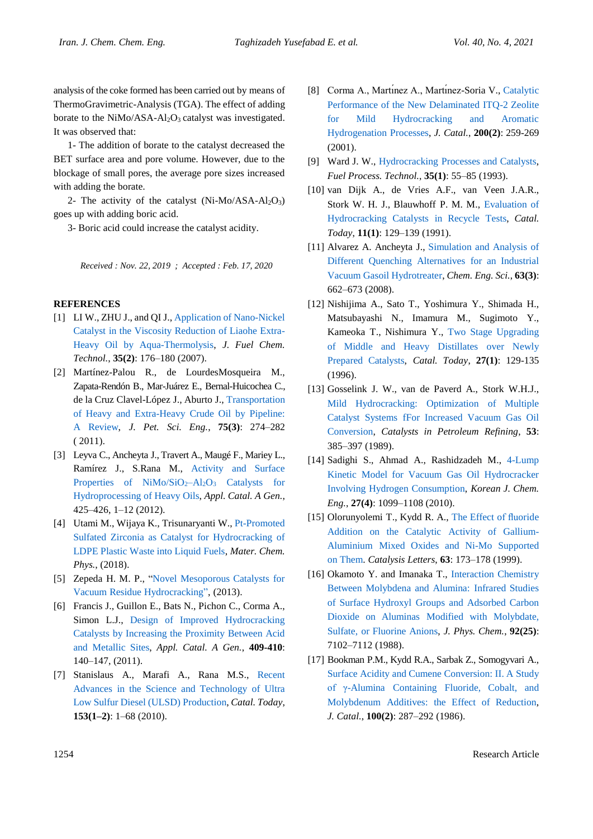analysis of the coke formed has been carried out by means of ThermoGravimetric-Analysis (TGA). The effect of adding borate to the  $NiMo/ASA-Al<sub>2</sub>O<sub>3</sub>$  catalyst was investigated. It was observed that:

1- The addition of borate to the catalyst decreased the BET surface area and pore volume. However, due to the blockage of small pores, the average pore sizes increased with adding the borate.

2- The activity of the catalyst  $(Ni-Mo/ASA-Al<sub>2</sub>O<sub>3</sub>)$ goes up with adding boric acid.

3- Boric acid could increase the catalyst acidity.

*Received : Nov. 22, 2019 ; Accepted : Feb. 17, 2020*

#### **REFERENCES**

- [1] LI W., ZHU J., and QI J.[, Application of](https://www.sciencedirect.com/science/article/abs/pii/S1872581307600164) Nano-Nickel [Catalyst in the Viscosity Reduction of Liaohe Extra-](https://www.sciencedirect.com/science/article/abs/pii/S1872581307600164)[Heavy Oil by Aqua-Thermolysis,](https://www.sciencedirect.com/science/article/abs/pii/S1872581307600164) *J. Fuel Chem. Technol.*, **35(2)**: 176–180 (2007).
- [2] Martínez-Palou R., de LourdesMosqueira M., Zapata-Rendón B., Mar-Juárez E., Bernal-Huicochea C., de la Cruz Clavel-López J., Aburto J., [Transportation](https://www.sciencedirect.com/science/article/abs/pii/S0920410510002640)  [of Heavy and Extra-Heavy Crude Oil by Pipeline:](https://www.sciencedirect.com/science/article/abs/pii/S0920410510002640)  [A Review,](https://www.sciencedirect.com/science/article/abs/pii/S0920410510002640) *J. Pet. Sci. Eng.*, **75(3)**: 274–282 ( 2011).
- [3] Leyva C., Ancheyta J., Travert A., Maugé F., Mariey L., Ramírez J., S.Rana M., [Activity and Surface](https://www.sciencedirect.com/science/article/abs/pii/S0926860X12001068)  [Properties of NiMo/SiO](https://www.sciencedirect.com/science/article/abs/pii/S0926860X12001068)<sub>2</sub>-Al<sub>2</sub>O<sub>3</sub> Catalysts for [Hydroprocessing of Heavy Oils,](https://www.sciencedirect.com/science/article/abs/pii/S0926860X12001068) *Appl. Catal. A Gen.*, 425–426, 1–12 (2012).
- [4] Utami M., Wijaya K., Trisunaryanti W.[, Pt-Promoted](https://www.sciencedirect.com/science/article/abs/pii/S0254058418302189)  [Sulfated Zirconia as Catalyst for Hydrocracking of](https://www.sciencedirect.com/science/article/abs/pii/S0254058418302189)  [LDPE Plastic Waste into Liquid Fuels,](https://www.sciencedirect.com/science/article/abs/pii/S0254058418302189) *Mater. Chem. Phys.*, (2018).
- [5] Zepeda H. M. P., ["Novel Mesoporous Catalysts for](https://books.google.com/books/about/Novel_Mesoporous_Catalysts_for_Vacuum_Re.html?id=QHzwvgEACAAJ&utm_source=gb-gplus-shareNovel)  [Vacuum Residue Hydrocracking"](https://books.google.com/books/about/Novel_Mesoporous_Catalysts_for_Vacuum_Re.html?id=QHzwvgEACAAJ&utm_source=gb-gplus-shareNovel), (2013).
- [6] Francis J., Guillon E., Bats N., Pichon C., Corma A., Simon L.J., [Design of Improved Hydrocracking](https://www.sciencedirect.com/science/article/abs/pii/S0926860X11005771)  [Catalysts by Increasing the Proximity Between Acid](https://www.sciencedirect.com/science/article/abs/pii/S0926860X11005771)  [and Metallic Sites,](https://www.sciencedirect.com/science/article/abs/pii/S0926860X11005771) *Appl. Catal. A Gen.*, **409-410**: 140–147, (2011).
- [7] Stanislaus A., Marafi A., Rana M.S., [Recent](https://www.sciencedirect.com/science/article/abs/pii/S0920586110003299)  [Advances in the Science and Technology of Ultra](https://www.sciencedirect.com/science/article/abs/pii/S0920586110003299)  [Low Sulfur Diesel \(ULSD\) Production,](https://www.sciencedirect.com/science/article/abs/pii/S0920586110003299) *Catal. Today*, **153(1–2)**: 1–68 (2010).
- [8] Corma A., Martinez A., Martinez-Soria V., Catalytic [Performance of the New Delaminated ITQ-2 Zeolite](https://www.sciencedirect.com/science/article/pii/S0021951701932191)  [for Mild Hydrocracking and Aromatic](https://www.sciencedirect.com/science/article/pii/S0021951701932191)  [Hydrogenation Processes,](https://www.sciencedirect.com/science/article/pii/S0021951701932191) *J. Catal.*, **200(2)**: 259-269 (2001).
- [9] Ward J. W., [Hydrocracking Processes and Catalysts,](https://www.sciencedirect.com/science/article/pii/037838209390085I) *Fuel Process. Technol.*, **35(1)**: 55–85 (1993).
- [10] van Dijk A., de Vries A.F., van Veen J.A.R., Stork W. H. J., Blauwhoff P. M. M., [Evaluation of](https://www.sciencedirect.com/science/article/abs/pii/092058619187013D)  [Hydrocracking Catalysts in Recycle Tests,](https://www.sciencedirect.com/science/article/abs/pii/092058619187013D) *Catal. Today*, **11(1)**: 129–139 (1991).
- [11] Alvarez A. Ancheyta J., [Simulation and Analysis of](https://www.sciencedirect.com/science/article/pii/S0009250907007804)  [Different Quenching Alternatives for an Industrial](https://www.sciencedirect.com/science/article/pii/S0009250907007804)  [Vacuum Gasoil Hydrotreater,](https://www.sciencedirect.com/science/article/pii/S0009250907007804) *Chem. Eng. Sci.*, **63(3)**: 662–673 (2008).
- [12] Nishijima A., Sato T., Yoshimura Y., Shimada H., Matsubayashi N., Imamura M., Sugimoto Y., Kameoka T., Nishimura Y., [Two Stage Upgrading](https://www.sciencedirect.com/science/article/abs/pii/0920586195001808)  [of Middle and Heavy Distillates over Newly](https://www.sciencedirect.com/science/article/abs/pii/0920586195001808)  [Prepared Catalysts,](https://www.sciencedirect.com/science/article/abs/pii/0920586195001808) *Catal. Today*, **27(1)**: 129-135 (1996).
- [13] Gosselink J. W., van de Paverd A., Stork W.H.J., [Mild Hydrocracking: Optimization of Multiple](https://www.sciencedirect.com/science/article/abs/pii/S0167299108610782)  [Catalyst Systems fFor Increased Vacuum Gas Oil](https://www.sciencedirect.com/science/article/abs/pii/S0167299108610782)  [Conversion,](https://www.sciencedirect.com/science/article/abs/pii/S0167299108610782) *Catalysts in Petroleum Refining*, **53**: 385–397 (1989).
- [14] Sadighi S., Ahmad A., Rashidzadeh M., [4-Lump](https://link.springer.com/article/10.1007/s11814-010-0172-0)  [Kinetic Model for Vacuum Gas Oil Hydrocracker](https://link.springer.com/article/10.1007/s11814-010-0172-0)  [Involving Hydrogen Consumption,](https://link.springer.com/article/10.1007/s11814-010-0172-0) *Korean J. Chem. Eng.*, **27(4)**: 1099–1108 (2010).
- [15] Olorunyolemi T., Kydd R. A., [The Effect of fluoride](https://link.springer.com/article/10.1023/A:1019054013022)  [Addition on the Catalytic Activity of Gallium-](https://link.springer.com/article/10.1023/A:1019054013022)[Aluminium Mixed Oxides and Ni-Mo Supported](https://link.springer.com/article/10.1023/A:1019054013022)  [on Them.](https://link.springer.com/article/10.1023/A:1019054013022) *Catalysis Letters*, **63**: 173–178 (1999).
- [16] Okamoto Y. and Imanaka T., [Interaction Chemistry](https://pubs.acs.org/doi/10.1021/j100336a015)  [Between Molybdena and Alumina: Infrared Studies](https://pubs.acs.org/doi/10.1021/j100336a015)  [of Surface Hydroxyl Groups and Adsorbed Carbon](https://pubs.acs.org/doi/10.1021/j100336a015)  [Dioxide on Aluminas Modified with Molybdate,](https://pubs.acs.org/doi/10.1021/j100336a015)  [Sulfate, or Fluorine Anions,](https://pubs.acs.org/doi/10.1021/j100336a015) *J. Phys. Chem.*, **92(25)**: 7102–7112 (1988).
- [17] Bookman P.M., Kydd R.A., Sarbak Z., Somogyvari A., [Surface Acidity and Cumene Conversion: II. A Study](https://www.sciencedirect.com/science/article/pii/0021951786900953)  [of γ-Alumina Containing Fluoride, Cobalt, and](https://www.sciencedirect.com/science/article/pii/0021951786900953)  [Molybdenum Additives: the Effect of Reduction,](https://www.sciencedirect.com/science/article/pii/0021951786900953) *J. Catal.*, **100(2)**: 287–292 (1986).